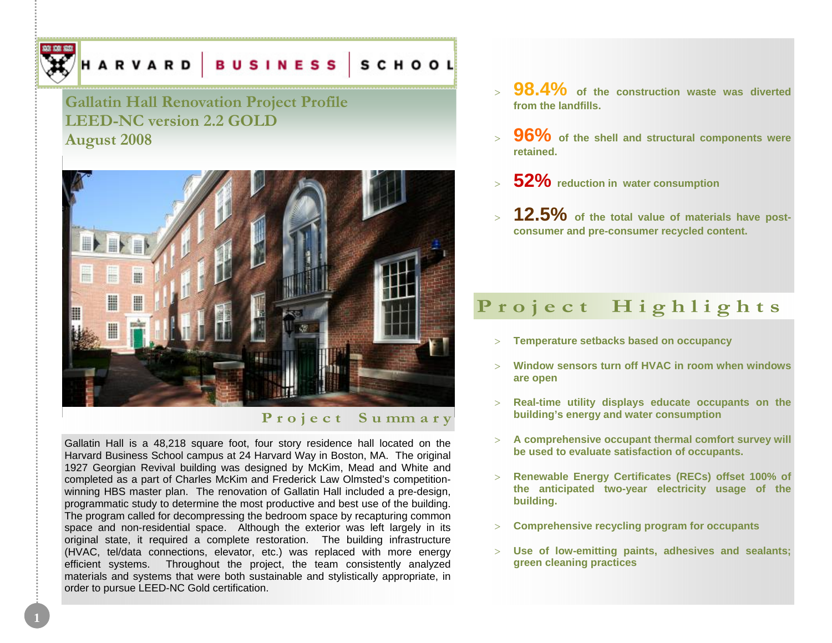# HARVARD BUSINESS SCHOOL

## **Gallatin Hall Renovation Project Profile LEED-NC version 2.2 GOLD August 2008**



### **P r o j e c t S u mm a r y**

Gallatin Hall is a 48,218 square foot, four story residence hall located on the Harvard Business School campus at 24 Harvard Way in Boston, MA. The original 1927 Georgian Revival building was designed by McKim, Mead and White and completed as a part of Charles McKim and Frederick Law Olmsted's competitionwinning HBS master plan. The renovation of Gallatin Hall included a pre-design, programmatic study to determine the most productive and best use of the building. The program called for decompressing the bedroom space by recapturing common space and non-residential space. Although the exterior was left largely in its original state, it required a complete restoration. The building infrastructure (HVAC, tel/data connections, elevator, etc.) was replaced with more energy efficient systems. Throughout the project, the team consistently analyzed materials and systems that were both sustainable and stylistically appropriate, in order to pursue LEED-NC Gold certification.

**1** 

- > 98.4% of the construction waste was diverted **from the landfills.**
- > 96% of the shell and structural components were **retained.**
- <sup>&</sup>gt;**52% reduction in water consumption**
- > **12.5% of the total value of materials have postconsumer and pre-consumer recycled content.**

## Project Highlights

- <sup>&</sup>gt;**Temperature setbacks based on occupancy**
- > **Window sensors turn off HVAC in room when windows are open**
- **Real-time utility displays educate occupants on the building's energy and water consumption**
- <sup>&</sup>gt;**A comprehensive occupant thermal comfort survey will be used to evaluate satisfaction of occupants.**
- <sup>&</sup>gt;**Renewable Energy Certificates (RECs) offset 100% of the anticipated two-year electricity usage of the building.**
- <sup>&</sup>gt;**Comprehensive recycling program for occupants**
- <sup>&</sup>gt;**Use of low-emitting paints, adhesives and sealants; green cleaning practices**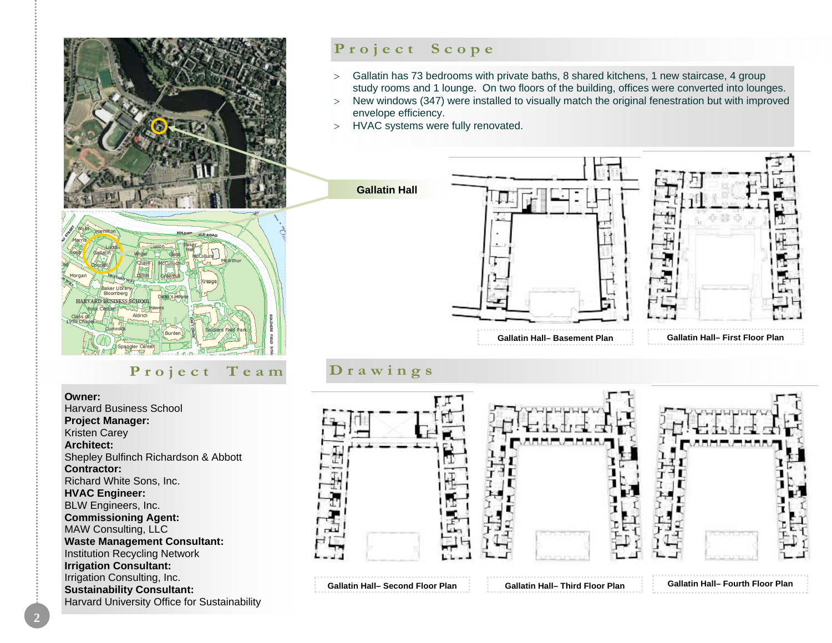

## Project Team Drawings

**Owner:** 

 Harvard Business School **Project Manager:**  Kristen Carey **Architect:** Shepley Bulfinch Richardson & Abbott **Contractor:** Richard White Sons, Inc. **HVAC Engineer:**  BLW Engineers, Inc. **Commissioning Agent:**  MAW Consulting, LLC **Waste Management Consultant:**  Institution Recycling Network **Irrigation Consultant:**  Irrigation Consulting, Inc. **Sustainability Consultant:**  Harvard University Office for Sustainability

## Project Scope

- <sup>&</sup>gt;Gallatin has 73 bedrooms with private baths, 8 shared kitchens, 1 new staircase, 4 group study rooms and 1 lounge. On two floors of the building, offices were converted into lounges.
- > New windows (347) were installed to visually match the original fenestration but with improved envelope efficiency.
- > HVAC systems were fully renovated.



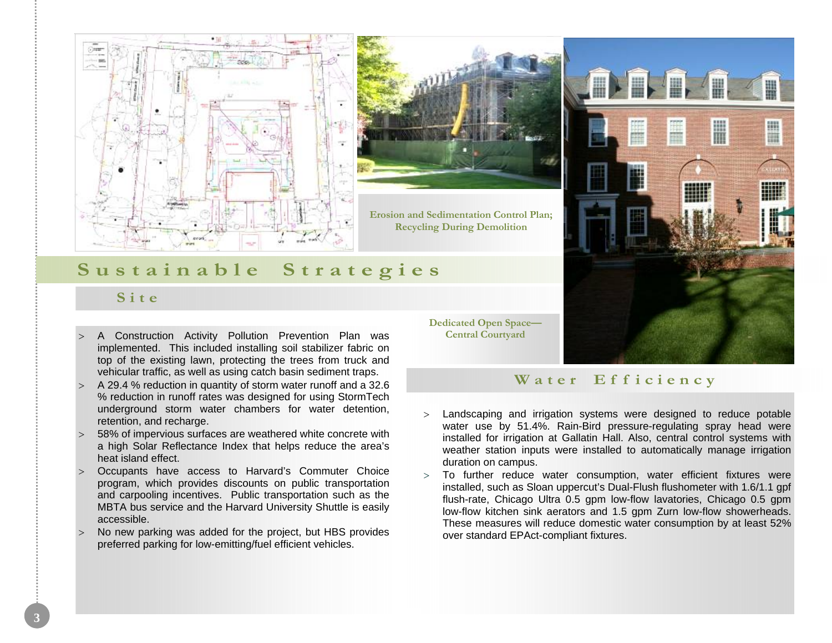



**Erosion and Sedimentation Control Plan; Recycling During Demolition**



## **S u s t a i n a b l e S t r a t e g i e s**

## **S i t e**

- A Construction Activity Pollution Prevention Plan was implemented. This included installing soil stabilizer fabric on top of the existing lawn, protecting the trees from truck and vehicular traffic, as well as using catch basin sediment traps.
- <sup>&</sup>gt;A 29.4 % reduction in quantity of storm water runoff and a 32.6 % reduction in runoff rates was designed for using StormTech underground storm water chambers for water detention, retention, and recharge.
- 58% of impervious surfaces are weathered white concrete with a high Solar Reflectance Index that helps reduce the area's heat island effect.
- <sup>&</sup>gt;Occupants have access to Harvard's Commuter Choice program, which provides discounts on public transportation and carpooling incentives. Public transportation such as the MBTA bus service and the Harvard University Shuttle is easily accessible.
- No new parking was added for the project, but HBS provides preferred parking for low-emitting/fuel efficient vehicles.

**Dedicated Open Space— Central Courtyard**

### Water Efficiency

- <sup>&</sup>gt;Landscaping and irrigation systems were designed to reduce potable water use by 51.4%. Rain-Bird pressure-regulating spray head were installed for irrigation at Gallatin Hall. Also, central control systems with weather station inputs were installed to automatically manage irrigation duration on campus.
- <sup>&</sup>gt;To further reduce water consumption, water efficient fixtures were installed, such as Sloan uppercut's Dual-Flush flushometer with 1.6/1.1 gpf flush-rate, Chicago Ultra 0.5 gpm low-flow lavatories, Chicago 0.5 gpm low-flow kitchen sink aerators and 1.5 gpm Zurn low-flow showerheads. These measures will reduce domestic water consumption by at least 52% over standard EPAct-compliant fixtures.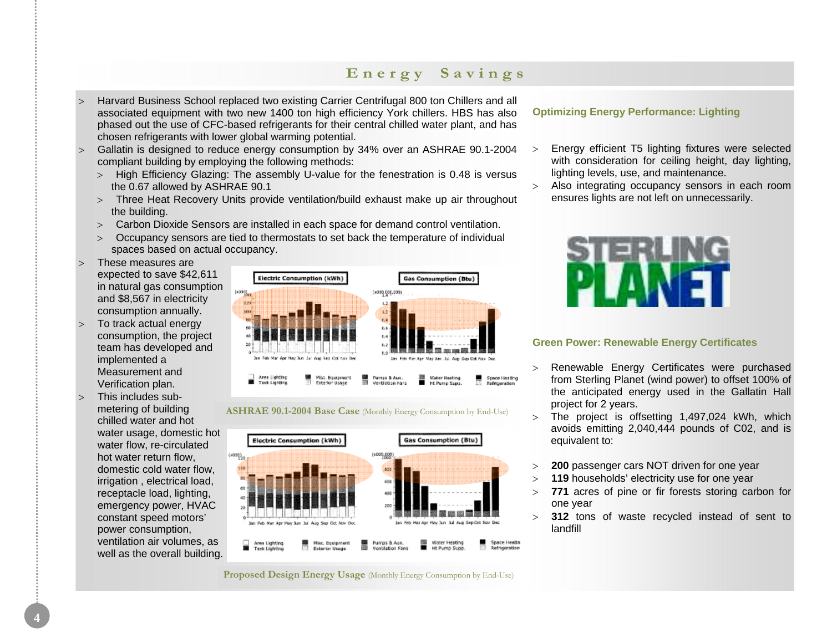## **E n e r g y S a v i n g s**

- <sup>&</sup>gt;Harvard Business School replaced two existing Carrier Centrifugal 800 ton Chillers and all associated equipment with two new 1400 ton high efficiency York chillers. HBS has also phased out the use of CFC-based refrigerants for their central chilled water plant, and has chosen refrigerants with lower global warming potential.
- <sup>&</sup>gt;Gallatin is designed to reduce energy consumption by 34% over an ASHRAE 90.1-2004 compliant building by employing the following methods:
	- <sup>&</sup>gt;High Efficiency Glazing: The assembly U-value for the fenestration is 0.48 is versus the 0.67 allowed by ASHRAE 90.1
	- <sup>&</sup>gt;Three Heat Recovery Units provide ventilation/build exhaust make up air throughout the building.
	- <sup>&</sup>gt;Carbon Dioxide Sensors are installed in each space for demand control ventilation.
	- <sup>&</sup>gt;Occupancy sensors are tied to thermostats to set back the temperature of individual spaces based on actual occupancy.
- > These measures are expected to save \$42,611 in natural gas consumption and \$8,567 in electricity consumption annually.
- <sup>&</sup>gt;To track actual energy consumption, the project team has developed and implemented a Measurement and Verification plan.
- $>$  This includes submetering of building chilled water and hot water usage, domestic hot water flow, re-circulated hot water return flow, domestic cold water flow, irrigation , electrical load, receptacle load, lighting, emergency power, HVAC constant speed motors' power consumption, ventilation air volumes, as well as the overall building.







**Proposed Design Energy Usage** (Monthly Energy Consumption by End-Use)

#### **Optimizing Energy Performance: Lighting**

- <sup>&</sup>gt;Energy efficient T5 lighting fixtures were selected with consideration for ceiling height, day lighting, lighting levels, use, and maintenance.
- <sup>&</sup>gt;Also integrating occupancy sensors in each room ensures lights are not left on unnecessarily.



#### **Green Power: Renewable Energy Certificates**

- > Renewable Energy Certificates were purchased from Sterling Planet (wind power) to offset 100% of the anticipated energy used in the Gallatin Hall project for 2 years.
- <sup>&</sup>gt;The project is offsetting 1,497,024 kWh, which avoids emitting 2,040,444 pounds of C02, and is equivalent to:
- <sup>&</sup>gt;**200** passenger cars NOT driven for one year
- <sup>&</sup>gt;**119** households' electricity use for one year
- <sup>&</sup>gt;**771** acres of pine or fir forests storing carbon for one year
- <sup>&</sup>gt;**312** tons of waste recycled instead of sent to landfill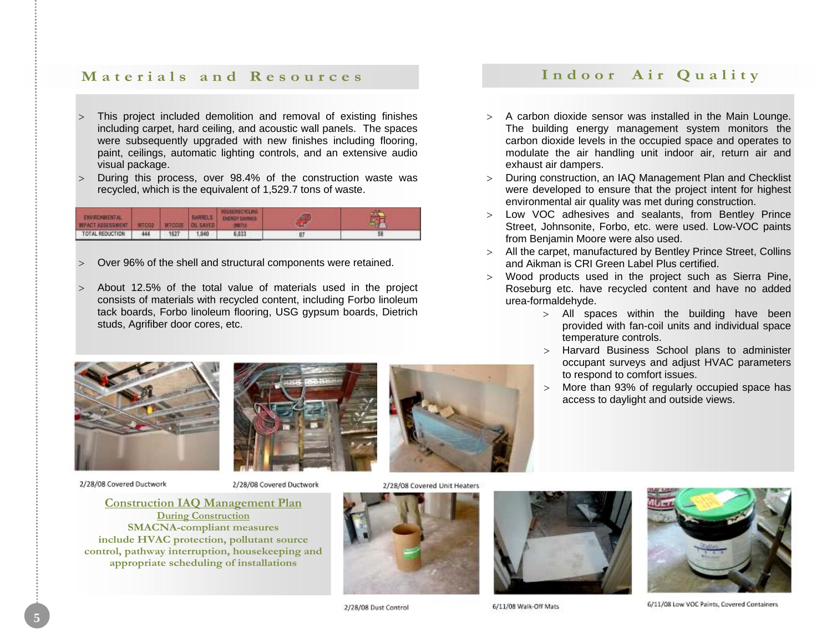## **Materials and Resources**

- <sup>&</sup>gt;This project included demolition and removal of existing finishes including carpet, hard ceiling, and acoustic wall panels. The spaces were subsequently upgraded with new finishes including flooring, paint, ceilings, automatic lighting controls, and an extensive audio visual package.
- During this process, over 98.4% of the construction waste was recycled, which is the equivalent of 1,529.7 tons of waste.

| <b>ENVIRONMENTAL</b><br><b>INPACT ASSESSMENT</b> | <b>MTCO2</b> |      | <b>BARRELS</b> | REUSERECYCLING<br>ENERGY SAVINGS |    |  |
|--------------------------------------------------|--------------|------|----------------|----------------------------------|----|--|
| TOTAL REDUCTION                                  | 44           | 1627 | .040           | 6,033                            | 87 |  |

- <sup>&</sup>gt;Over 96% of the shell and structural components were retained.
- > About 12.5% of the total value of materials used in the project consists of materials with recycled content, including Forbo linoleum tack boards, Forbo linoleum flooring, USG gypsum boards, Dietrich studs, Agrifiber door cores, etc.







2/28/08 Covered Ductwork



2/28/08 Covered Unit Heaters



2/28/08 Dust Control



exhaust air dampers.



Street, Johnsonite, Forbo, etc. were used. Low-VOC paints from Benjamin Moore were also used.

> A carbon dioxide sensor was installed in the Main Lounge. The building energy management system monitors the carbon dioxide levels in the occupied space and operates to modulate the air handling unit indoor air, return air and

Indoor Air Quality

- > All the carpet, manufactured by Bentley Prince Street, Collins and Aikman is CRI Green Label Plus certified.
- Wood products used in the project such as Sierra Pine, Roseburg etc. have recycled content and have no added urea-formaldehyde.
	- $>$  All spaces within the building have been provided with fan-coil units and individual space temperature controls.
	- <sup>&</sup>gt;Harvard Business School plans to administer occupant surveys and adjust HVAC parameters to respond to comfort issues.
	- <sup>&</sup>gt;More than 93% of regularly occupied space has access to daylight and outside views.

6/11/08 Walk-Off Mats

6/11/08 Low VOC Paints, Covered Containers

**Construction IAQ Management Plan During Construction**

**SMACNA-compliant measures include HVAC protection, pollutant source control, pathway interruption, housekeeping and appropriate scheduling of installations**